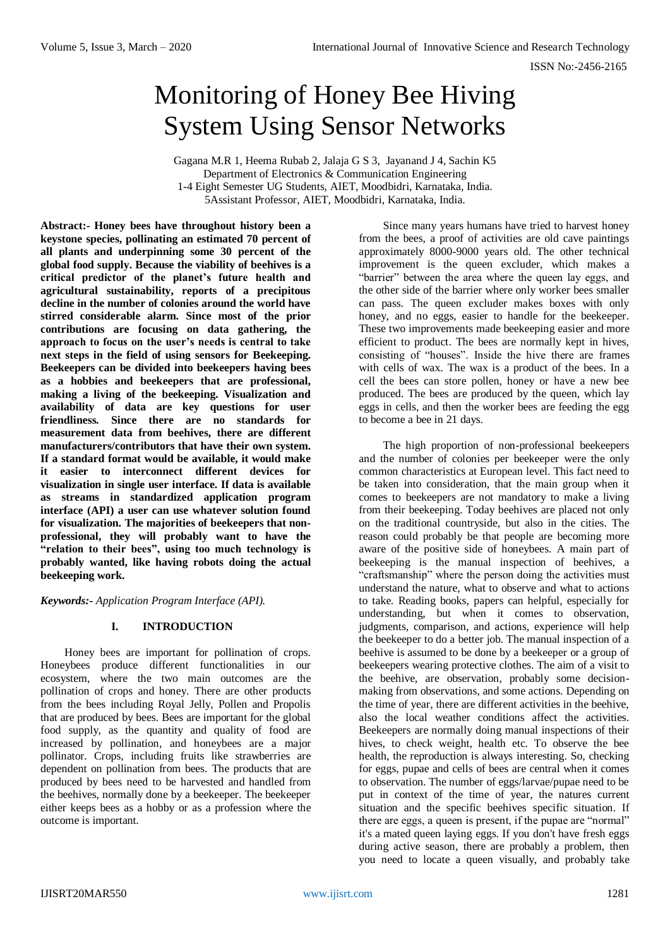# Monitoring of Honey Bee Hiving System Using Sensor Networks

Gagana M.R 1, Heema Rubab 2, Jalaja G S 3, Jayanand J 4, Sachin K5 Department of Electronics & Communication Engineering 1-4 Eight Semester UG Students, AIET, Moodbidri, Karnataka, India. 5Assistant Professor, AIET, Moodbidri, Karnataka, India.

**Abstract:- Honey bees have throughout history been a keystone species, pollinating an estimated 70 percent of all plants and underpinning some 30 percent of the global food supply. Because the viability of beehives is a critical predictor of the planet's future health and agricultural sustainability, reports of a precipitous decline in the number of colonies around the world have stirred considerable alarm. Since most of the prior contributions are focusing on data gathering, the approach to focus on the user's needs is central to take next steps in the field of using sensors for Beekeeping. Beekeepers can be divided into beekeepers having bees as a hobbies and beekeepers that are professional, making a living of the beekeeping. Visualization and availability of data are key questions for user friendliness. Since there are no standards for measurement data from beehives, there are different manufacturers/contributors that have their own system. If a standard format would be available, it would make it easier to interconnect different devices for visualization in single user interface. If data is available as streams in standardized application program interface (API) a user can use whatever solution found for visualization. The majorities of beekeepers that nonprofessional, they will probably want to have the "relation to their bees", using too much technology is probably wanted, like having robots doing the actual beekeeping work.**

*Keywords:- Application Program Interface (API).*

## **I. INTRODUCTION**

Honey bees are important for pollination of crops. Honeybees produce different functionalities in our ecosystem, where the two main outcomes are the pollination of crops and honey. There are other products from the bees including Royal Jelly, Pollen and Propolis that are produced by bees. Bees are important for the global food supply, as the quantity and quality of food are increased by pollination, and honeybees are a major pollinator. Crops, including fruits like strawberries are dependent on pollination from bees. The products that are produced by bees need to be harvested and handled from the beehives, normally done by a beekeeper. The beekeeper either keeps bees as a hobby or as a profession where the outcome is important.

Since many years humans have tried to harvest honey from the bees, a proof of activities are old cave paintings approximately 8000-9000 years old. The other technical improvement is the queen excluder, which makes a "barrier" between the area where the queen lay eggs, and the other side of the barrier where only worker bees smaller can pass. The queen excluder makes boxes with only honey, and no eggs, easier to handle for the beekeeper. These two improvements made beekeeping easier and more efficient to product. The bees are normally kept in hives, consisting of "houses". Inside the hive there are frames with cells of wax. The wax is a product of the bees. In a cell the bees can store pollen, honey or have a new bee produced. The bees are produced by the queen, which lay eggs in cells, and then the worker bees are feeding the egg to become a bee in 21 days.

The high proportion of non-professional beekeepers and the number of colonies per beekeeper were the only common characteristics at European level. This fact need to be taken into consideration, that the main group when it comes to beekeepers are not mandatory to make a living from their beekeeping. Today beehives are placed not only on the traditional countryside, but also in the cities. The reason could probably be that people are becoming more aware of the positive side of honeybees. A main part of beekeeping is the manual inspection of beehives, a "craftsmanship" where the person doing the activities must understand the nature, what to observe and what to actions to take. Reading books, papers can helpful, especially for understanding, but when it comes to observation, judgments, comparison, and actions, experience will help the beekeeper to do a better job. The manual inspection of a beehive is assumed to be done by a beekeeper or a group of beekeepers wearing protective clothes. The aim of a visit to the beehive, are observation, probably some decisionmaking from observations, and some actions. Depending on the time of year, there are different activities in the beehive, also the local weather conditions affect the activities. Beekeepers are normally doing manual inspections of their hives, to check weight, health etc. To observe the bee health, the reproduction is always interesting. So, checking for eggs, pupae and cells of bees are central when it comes to observation. The number of eggs/larvae/pupae need to be put in context of the time of year, the natures current situation and the specific beehives specific situation. If there are eggs, a queen is present, if the pupae are "normal" it's a mated queen laying eggs. If you don't have fresh eggs during active season, there are probably a problem, then you need to locate a queen visually, and probably take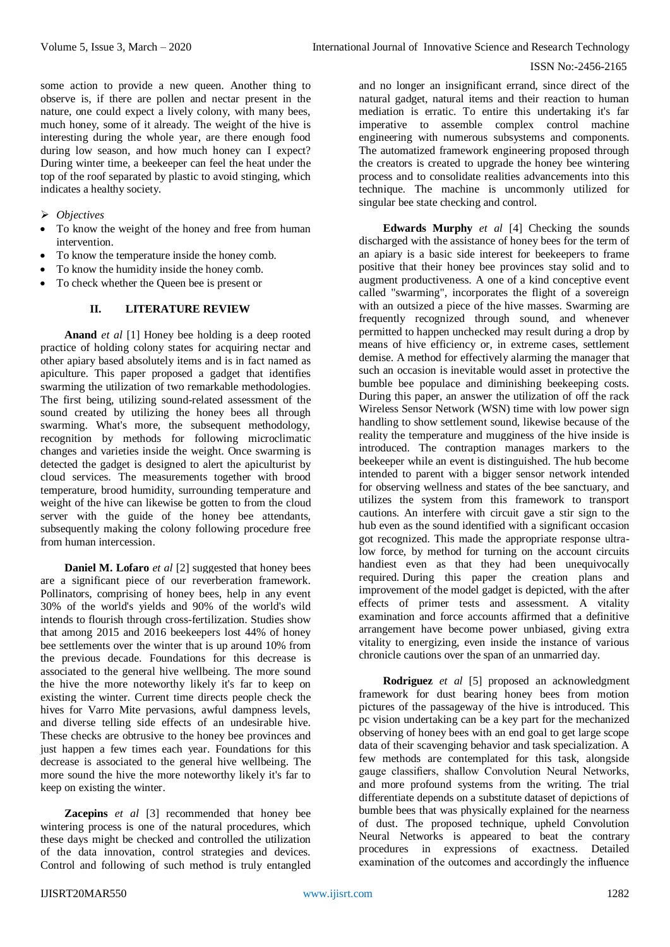some action to provide a new queen. Another thing to observe is, if there are pollen and nectar present in the nature, one could expect a lively colony, with many bees, much honey, some of it already. The weight of the hive is interesting during the whole year, are there enough food during low season, and how much honey can I expect? During winter time, a beekeeper can feel the heat under the top of the roof separated by plastic to avoid stinging, which indicates a healthy society.

# *Objectives*

- To know the weight of the honey and free from human intervention.
- To know the temperature inside the honey comb.
- To know the humidity inside the honey comb.
- To check whether the Queen bee is present or

## **II. LITERATURE REVIEW**

**Anand** *et al* [1] Honey bee holding is a deep rooted practice of holding colony states for acquiring nectar and other apiary based absolutely items and is in fact named as apiculture. This paper proposed a gadget that identifies swarming the utilization of two remarkable methodologies. The first being, utilizing sound-related assessment of the sound created by utilizing the honey bees all through swarming. What's more, the subsequent methodology, recognition by methods for following microclimatic changes and varieties inside the weight. Once swarming is detected the gadget is designed to alert the apiculturist by cloud services. The measurements together with brood temperature, brood humidity, surrounding temperature and weight of the hive can likewise be gotten to from the cloud server with the guide of the honey bee attendants, subsequently making the colony following procedure free from human intercession.

**Daniel M. Lofaro** *et al* [2] suggested that honey bees are a significant piece of our reverberation framework. Pollinators, comprising of honey bees, help in any event 30% of the world's yields and 90% of the world's wild intends to flourish through cross-fertilization. Studies show that among 2015 and 2016 beekeepers lost 44% of honey bee settlements over the winter that is up around 10% from the previous decade. Foundations for this decrease is associated to the general hive wellbeing. The more sound the hive the more noteworthy likely it's far to keep on existing the winter. Current time directs people check the hives for Varro Mite pervasions, awful dampness levels, and diverse telling side effects of an undesirable hive. These checks are obtrusive to the honey bee provinces and just happen a few times each year. Foundations for this decrease is associated to the general hive wellbeing. The more sound the hive the more noteworthy likely it's far to keep on existing the winter.

**Zacepins** *et al* [3] recommended that honey bee wintering process is one of the natural procedures, which these days might be checked and controlled the utilization of the data innovation, control strategies and devices. Control and following of such method is truly entangled

and no longer an insignificant errand, since direct of the natural gadget, natural items and their reaction to human mediation is erratic. To entire this undertaking it's far imperative to assemble complex control machine engineering with numerous subsystems and components. The automatized framework engineering proposed through the creators is created to upgrade the honey bee wintering process and to consolidate realities advancements into this technique. The machine is uncommonly utilized for singular bee state checking and control.

**Edwards Murphy** *et al* [4] Checking the sounds discharged with the assistance of honey bees for the term of an apiary is a basic side interest for beekeepers to frame positive that their honey bee provinces stay solid and to augment productiveness. A one of a kind conceptive event called "swarming", incorporates the flight of a sovereign with an outsized a piece of the hive masses. Swarming are frequently recognized through sound, and whenever permitted to happen unchecked may result during a drop by means of hive efficiency or, in extreme cases, settlement demise. A method for effectively alarming the manager that such an occasion is inevitable would asset in protective the bumble bee populace and diminishing beekeeping costs. During this paper, an answer the utilization of off the rack Wireless Sensor Network (WSN) time with low power sign handling to show settlement sound, likewise because of the reality the temperature and mugginess of the hive inside is introduced. The contraption manages markers to the beekeeper while an event is distinguished. The hub become intended to parent with a bigger sensor network intended for observing wellness and states of the bee sanctuary, and utilizes the system from this framework to transport cautions. An interfere with circuit gave a stir sign to the hub even as the sound identified with a significant occasion got recognized. This made the appropriate response ultralow force, by method for turning on the account circuits handiest even as that they had been unequivocally required. During this paper the creation plans and improvement of the model gadget is depicted, with the after effects of primer tests and assessment. A vitality examination and force accounts affirmed that a definitive arrangement have become power unbiased, giving extra vitality to energizing, even inside the instance of various chronicle cautions over the span of an unmarried day.

**Rodriguez** *et al* [5] proposed an acknowledgment framework for dust bearing honey bees from motion pictures of the passageway of the hive is introduced. This pc vision undertaking can be a key part for the mechanized observing of honey bees with an end goal to get large scope data of their scavenging behavior and task specialization. A few methods are contemplated for this task, alongside gauge classifiers, shallow Convolution Neural Networks, and more profound systems from the writing. The trial differentiate depends on a substitute dataset of depictions of bumble bees that was physically explained for the nearness of dust. The proposed technique, upheld Convolution Neural Networks is appeared to beat the contrary procedures in expressions of exactness. Detailed examination of the outcomes and accordingly the influence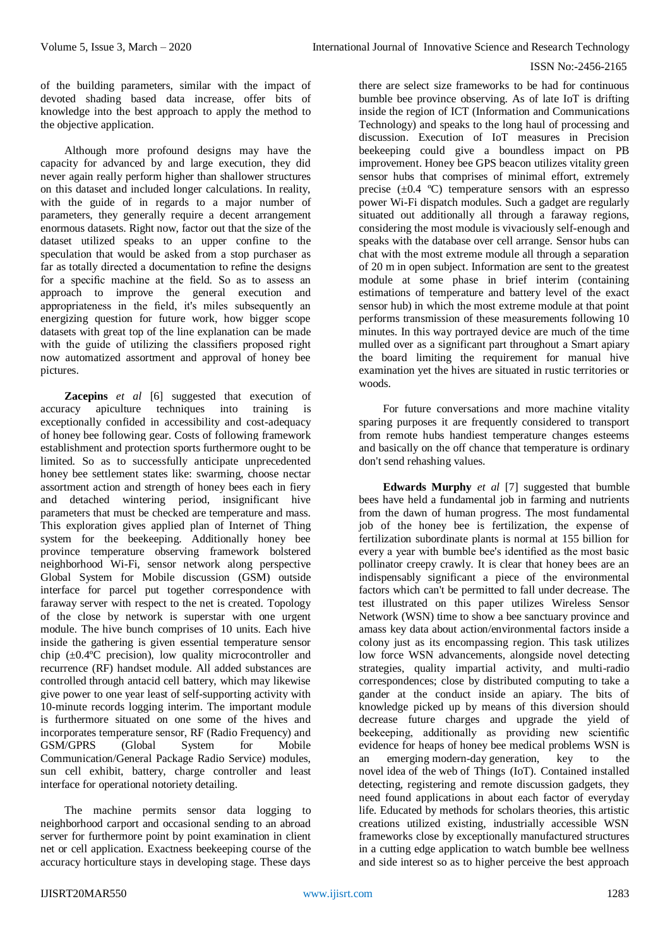of the building parameters, similar with the impact of devoted shading based data increase, offer bits of knowledge into the best approach to apply the method to the objective application.

Although more profound designs may have the capacity for advanced by and large execution, they did never again really perform higher than shallower structures on this dataset and included longer calculations. In reality, with the guide of in regards to a major number of parameters, they generally require a decent arrangement enormous datasets. Right now, factor out that the size of the dataset utilized speaks to an upper confine to the speculation that would be asked from a stop purchaser as far as totally directed a documentation to refine the designs for a specific machine at the field. So as to assess an approach to improve the general execution and appropriateness in the field, it's miles subsequently an energizing question for future work, how bigger scope datasets with great top of the line explanation can be made with the guide of utilizing the classifiers proposed right now automatized assortment and approval of honey bee pictures.

**Zacepins** *et al* [6] suggested that execution of accuracy apiculture techniques into training is exceptionally confided in accessibility and cost-adequacy of honey bee following gear. Costs of following framework establishment and protection sports furthermore ought to be limited. So as to successfully anticipate unprecedented honey bee settlement states like: swarming, choose nectar assortment action and strength of honey bees each in fiery and detached wintering period, insignificant hive parameters that must be checked are temperature and mass. This exploration gives applied plan of Internet of Thing system for the beekeeping. Additionally honey bee province temperature observing framework bolstered neighborhood Wi-Fi, sensor network along perspective Global System for Mobile discussion (GSM) outside interface for parcel put together correspondence with faraway server with respect to the net is created. Topology of the close by network is superstar with one urgent module. The hive bunch comprises of 10 units. Each hive inside the gathering is given essential temperature sensor chip (±0.4ºC precision), low quality microcontroller and recurrence (RF) handset module. All added substances are controlled through antacid cell battery, which may likewise give power to one year least of self-supporting activity with 10-minute records logging interim. The important module is furthermore situated on one some of the hives and incorporates temperature sensor, RF (Radio Frequency) and GSM/GPRS (Global System for Mobile Communication/General Package Radio Service) modules, sun cell exhibit, battery, charge controller and least interface for operational notoriety detailing.

The machine permits sensor data logging to neighborhood carport and occasional sending to an abroad server for furthermore point by point examination in client net or cell application. Exactness beekeeping course of the accuracy horticulture stays in developing stage. These days

there are select size frameworks to be had for continuous bumble bee province observing. As of late IoT is drifting inside the region of ICT (Information and Communications Technology) and speaks to the long haul of processing and discussion. Execution of IoT measures in Precision beekeeping could give a boundless impact on PB improvement. Honey bee GPS beacon utilizes vitality green sensor hubs that comprises of minimal effort, extremely precise  $(\pm 0.4 \degree C)$  temperature sensors with an espresso power Wi-Fi dispatch modules. Such a gadget are regularly situated out additionally all through a faraway regions, considering the most module is vivaciously self-enough and speaks with the database over cell arrange. Sensor hubs can chat with the most extreme module all through a separation of 20 m in open subject. Information are sent to the greatest module at some phase in brief interim (containing estimations of temperature and battery level of the exact sensor hub) in which the most extreme module at that point performs transmission of these measurements following 10 minutes. In this way portrayed device are much of the time mulled over as a significant part throughout a Smart apiary the board limiting the requirement for manual hive examination yet the hives are situated in rustic territories or woods.

For future conversations and more machine vitality sparing purposes it are frequently considered to transport from remote hubs handiest temperature changes esteems and basically on the off chance that temperature is ordinary don't send rehashing values.

**Edwards Murphy** *et al* [7] suggested that bumble bees have held a fundamental job in farming and nutrients from the dawn of human progress. The most fundamental job of the honey bee is fertilization, the expense of fertilization subordinate plants is normal at 155 billion for every a year with bumble bee's identified as the most basic pollinator creepy crawly. It is clear that honey bees are an indispensably significant a piece of the environmental factors which can't be permitted to fall under decrease. The test illustrated on this paper utilizes Wireless Sensor Network (WSN) time to show a bee sanctuary province and amass key data about action/environmental factors inside a colony just as its encompassing region. This task utilizes low force WSN advancements, alongside novel detecting strategies, quality impartial activity, and multi-radio correspondences; close by distributed computing to take a gander at the conduct inside an apiary. The bits of knowledge picked up by means of this diversion should decrease future charges and upgrade the yield of beekeeping, additionally as providing new scientific evidence for heaps of honey bee medical problems WSN is an emerging modern-day generation, key to the novel idea of the web of Things (IoT). Contained installed detecting, registering and remote discussion gadgets, they need found applications in about each factor of everyday life. Educated by methods for scholars theories, this artistic creations utilized existing, industrially accessible WSN frameworks close by exceptionally manufactured structures in a cutting edge application to watch bumble bee wellness and side interest so as to higher perceive the best approach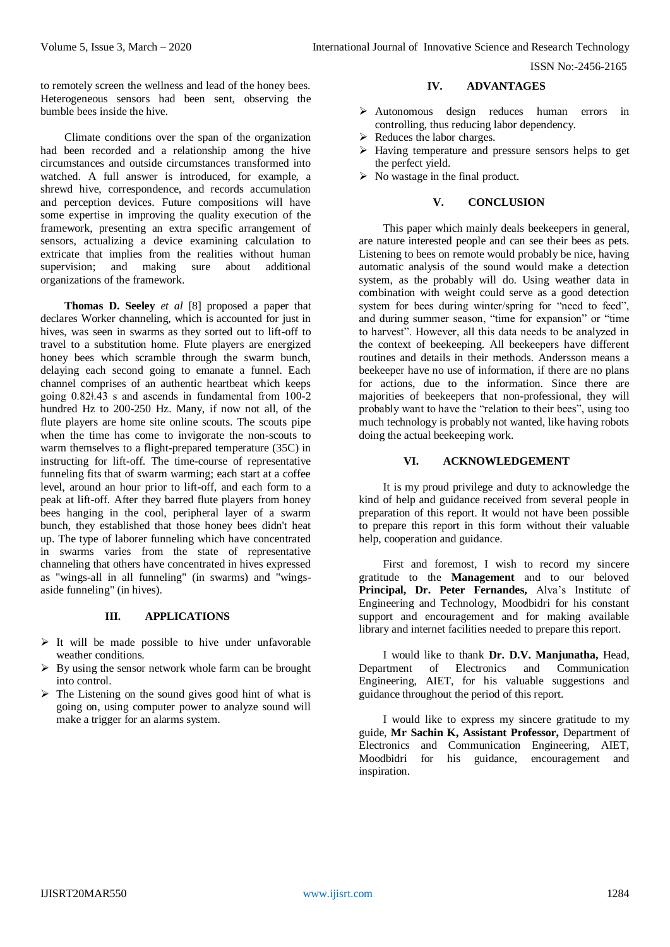to remotely screen the wellness and lead of the honey bees. Heterogeneous sensors had been sent, observing the bumble bees inside the hive.

Climate conditions over the span of the organization had been recorded and a relationship among the hive circumstances and outside circumstances transformed into watched. A full answer is introduced, for example, a shrewd hive, correspondence, and records accumulation and perception devices. Future compositions will have some expertise in improving the quality execution of the framework, presenting an extra specific arrangement of sensors, actualizing a device examining calculation to extricate that implies from the realities without human<br>supervision: and making sure about additional supervision: and making sure about organizations of the framework.

**Thomas D. Seeley** *et al* [8] proposed a paper that declares Worker channeling, which is accounted for just in hives, was seen in swarms as they sorted out to lift-off to travel to a substitution home. Flute players are energized honey bees which scramble through the swarm bunch, delaying each second going to emanate a funnel. Each channel comprises of an authentic heartbeat which keeps going 0.82ǂ.43 s and ascends in fundamental from 100-2 hundred Hz to 200-250 Hz. Many, if now not all, of the flute players are home site online scouts. The scouts pipe when the time has come to invigorate the non-scouts to warm themselves to a flight-prepared temperature (35C) in instructing for lift-off. The time-course of representative funneling fits that of swarm warming; each start at a coffee level, around an hour prior to lift-off, and each form to a peak at lift-off. After they barred flute players from honey bees hanging in the cool, peripheral layer of a swarm bunch, they established that those honey bees didn't heat up. The type of laborer funneling which have concentrated in swarms varies from the state of representative channeling that others have concentrated in hives expressed as "wings-all in all funneling" (in swarms) and "wingsaside funneling" (in hives).

#### **III. APPLICATIONS**

- $\triangleright$  It will be made possible to hive under unfavorable weather conditions.
- $\triangleright$  By using the sensor network whole farm can be brought into control.
- $\triangleright$  The Listening on the sound gives good hint of what is going on, using computer power to analyze sound will make a trigger for an alarms system.

#### **IV. ADVANTAGES**

- Autonomous design reduces human errors in controlling, thus reducing labor dependency.
- $\triangleright$  Reduces the labor charges.
- Having temperature and pressure sensors helps to get the perfect yield.
- $\triangleright$  No wastage in the final product.

## **V. CONCLUSION**

This paper which mainly deals beekeepers in general, are nature interested people and can see their bees as pets. Listening to bees on remote would probably be nice, having automatic analysis of the sound would make a detection system, as the probably will do. Using weather data in combination with weight could serve as a good detection system for bees during winter/spring for "need to feed", and during summer season, "time for expansion" or "time to harvest". However, all this data needs to be analyzed in the context of beekeeping. All beekeepers have different routines and details in their methods. Andersson means a beekeeper have no use of information, if there are no plans for actions, due to the information. Since there are majorities of beekeepers that non-professional, they will probably want to have the "relation to their bees", using too much technology is probably not wanted, like having robots doing the actual beekeeping work.

## **VI. ACKNOWLEDGEMENT**

It is my proud privilege and duty to acknowledge the kind of help and guidance received from several people in preparation of this report. It would not have been possible to prepare this report in this form without their valuable help, cooperation and guidance.

First and foremost, I wish to record my sincere gratitude to the **Management** and to our beloved **Principal, Dr. Peter Fernandes,** Alva's Institute of Engineering and Technology, Moodbidri for his constant support and encouragement and for making available library and internet facilities needed to prepare this report.

I would like to thank **Dr. D.V. Manjunatha,** Head, Department of Electronics and Communication Engineering, AIET, for his valuable suggestions and guidance throughout the period of this report.

I would like to express my sincere gratitude to my guide, **Mr Sachin K, Assistant Professor,** Department of Electronics and Communication Engineering, AIET, Moodbidri for his guidance, encouragement and inspiration.